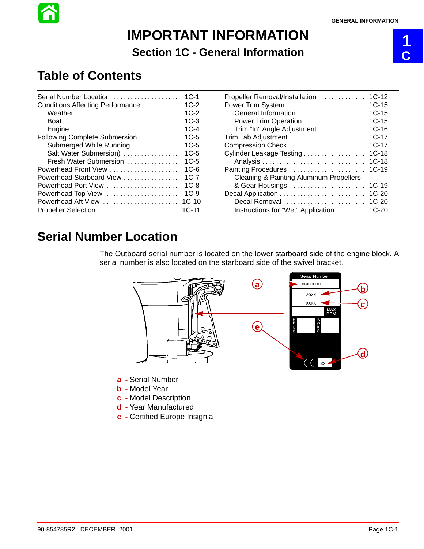# **IMPORTANT INFORMATION Section 1C - General Information**

# **1 C**

# **Table of Contents**

| Serial Number Location           | $1C-1$  |
|----------------------------------|---------|
| Conditions Affecting Performance | $1C-2$  |
| Weather                          | $1C-2$  |
|                                  | $1C-3$  |
| Engine                           | $1C-4$  |
| Following Complete Submersion    | $1C-5$  |
| Submerged While Running          | $1C-5$  |
| Salt Water Submersion)           | $1C-5$  |
| Fresh Water Submersion           | $1C-5$  |
| Powerhead Front View             | $1C-6$  |
| Powerhead Starboard View         | $1C-7$  |
|                                  | $1C-8$  |
| Powerhead Top View               | $1C-9$  |
| Powerhead Aft View               | $1C-10$ |
| Propeller Selection              | $1C-11$ |
|                                  |         |

| Propeller Removal/Installation                     | $1C-12$ |
|----------------------------------------------------|---------|
|                                                    | $1C-15$ |
| General Information                                | $1C-15$ |
| Power Trim Operation                               | $1C-15$ |
| Trim "In" Angle Adjustment                         | $1C-16$ |
|                                                    | $1C-17$ |
| Compression Check                                  | $1C-17$ |
| Cylinder Leakage Testing                           | $1C-18$ |
|                                                    | $1C-18$ |
| Painting Procedures                                | $1C-19$ |
| <b>Cleaning &amp; Painting Aluminum Propellers</b> |         |
| & Gear Housings                                    | $1C-19$ |
|                                                    | $1C-20$ |
|                                                    | $1C-20$ |
| Instructions for "Wet" Application                 | 1C-20   |
|                                                    |         |

# **Serial Number Location**

The Outboard serial number is located on the lower starboard side of the engine block. A serial number is also located on the starboard side of the swivel bracket.



- **a -** Serial Number
- **b -** Model Year
- **c -** Model Description
- **d -** Year Manufactured
- **e -** Certified Europe Insignia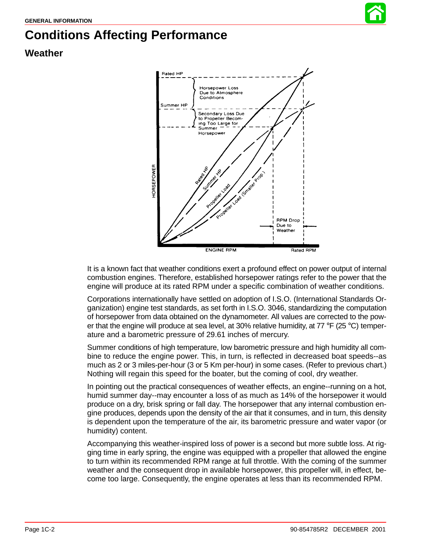

# **Conditions Affecting Performance**

### **Weather**



It is a known fact that weather conditions exert a profound effect on power output of internal combustion engines. Therefore, established horsepower ratings refer to the power that the engine will produce at its rated RPM under a specific combination of weather conditions.

Corporations internationally have settled on adoption of I.S.O. (International Standards Organization) engine test standards, as set forth in I.S.O. 3046, standardizing the computation of horsepower from data obtained on the dynamometer. All values are corrected to the power that the engine will produce at sea level, at 30% relative humidity, at  $77 \text{ }^{\circ}$ F (25  $\text{ }^{\circ}$ C) temperature and a barometric pressure of 29.61 inches of mercury.

Summer conditions of high temperature, low barometric pressure and high humidity all combine to reduce the engine power. This, in turn, is reflected in decreased boat speeds--as much as 2 or 3 miles-per-hour (3 or 5 Km per-hour) in some cases. (Refer to previous chart.) Nothing will regain this speed for the boater, but the coming of cool, dry weather.

In pointing out the practical consequences of weather effects, an engine--running on a hot, humid summer day--may encounter a loss of as much as 14% of the horsepower it would produce on a dry, brisk spring or fall day. The horsepower that any internal combustion engine produces, depends upon the density of the air that it consumes, and in turn, this density is dependent upon the temperature of the air, its barometric pressure and water vapor (or humidity) content.

Accompanying this weather-inspired loss of power is a second but more subtle loss. At rigging time in early spring, the engine was equipped with a propeller that allowed the engine to turn within its recommended RPM range at full throttle. With the coming of the summer weather and the consequent drop in available horsepower, this propeller will, in effect, become too large. Consequently, the engine operates at less than its recommended RPM.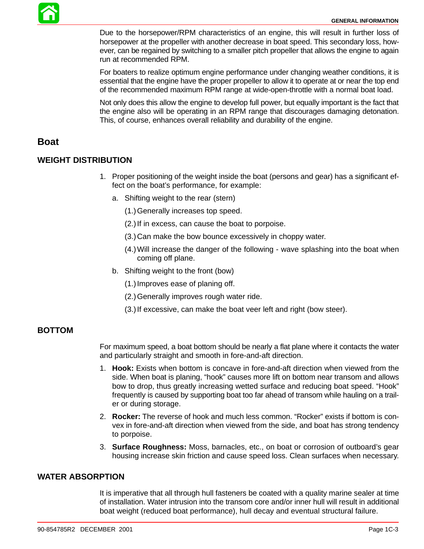Due to the horsepower/RPM characteristics of an engine, this will result in further loss of horsepower at the propeller with another decrease in boat speed. This secondary loss, however, can be regained by switching to a smaller pitch propeller that allows the engine to again run at recommended RPM.

For boaters to realize optimum engine performance under changing weather conditions, it is essential that the engine have the proper propeller to allow it to operate at or near the top end of the recommended maximum RPM range at wide-open-throttle with a normal boat load.

Not only does this allow the engine to develop full power, but equally important is the fact that the engine also will be operating in an RPM range that discourages damaging detonation. This, of course, enhances overall reliability and durability of the engine.

### **Boat**

#### **WEIGHT DISTRIBUTION**

- 1. Proper positioning of the weight inside the boat (persons and gear) has a significant effect on the boat's performance, for example:
	- a. Shifting weight to the rear (stern)
		- (1.)Generally increases top speed.
		- (2.)If in excess, can cause the boat to porpoise.
		- (3.)Can make the bow bounce excessively in choppy water.
		- (4.)Will increase the danger of the following wave splashing into the boat when coming off plane.
	- b. Shifting weight to the front (bow)
		- (1.)Improves ease of planing off.
		- (2.)Generally improves rough water ride.
		- (3.)If excessive, can make the boat veer left and right (bow steer).

#### **BOTTOM**

For maximum speed, a boat bottom should be nearly a flat plane where it contacts the water and particularly straight and smooth in fore-and-aft direction.

- 1. **Hook:** Exists when bottom is concave in fore-and-aft direction when viewed from the side. When boat is planing, "hook" causes more lift on bottom near transom and allows bow to drop, thus greatly increasing wetted surface and reducing boat speed. "Hook" frequently is caused by supporting boat too far ahead of transom while hauling on a trailer or during storage.
- 2. **Rocker:** The reverse of hook and much less common. "Rocker" exists if bottom is convex in fore-and-aft direction when viewed from the side, and boat has strong tendency to porpoise.
- 3. **Surface Roughness:** Moss, barnacles, etc., on boat or corrosion of outboard's gear housing increase skin friction and cause speed loss. Clean surfaces when necessary.

#### **WATER ABSORPTION**

It is imperative that all through hull fasteners be coated with a quality marine sealer at time of installation. Water intrusion into the transom core and/or inner hull will result in additional boat weight (reduced boat performance), hull decay and eventual structural failure.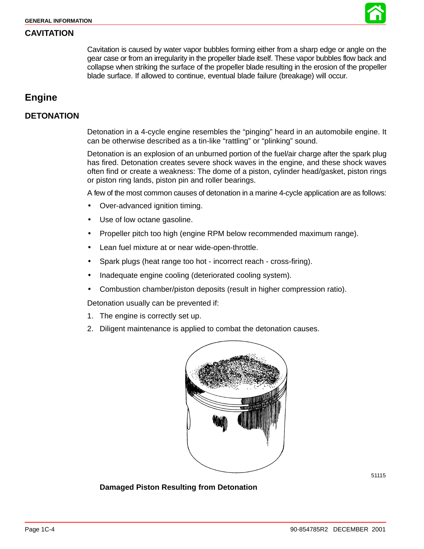

#### <span id="page-3-0"></span>**CAVITATION**

Cavitation is caused by water vapor bubbles forming either from a sharp edge or angle on the gear case or from an irregularity in the propeller blade itself. These vapor bubbles flow back and collapse when striking the surface of the propeller blade resulting in the erosion of the propeller blade surface. If allowed to continue, eventual blade failure (breakage) will occur.

## **Engine**

#### **DETONATION**

Detonation in a 4-cycle engine resembles the "pinging" heard in an automobile engine. It can be otherwise described as a tin-like "rattling" or "plinking" sound.

Detonation is an explosion of an unburned portion of the fuel/air charge after the spark plug has fired. Detonation creates severe shock waves in the engine, and these shock waves often find or create a weakness: The dome of a piston, cylinder head/gasket, piston rings or piston ring lands, piston pin and roller bearings.

A few of the most common causes of detonation in a marine 4-cycle application are as follows:

- Over-advanced ignition timing.
- Use of low octane gasoline.
- Propeller pitch too high (engine RPM below recommended maximum range).
- Lean fuel mixture at or near wide-open-throttle.
- Spark plugs (heat range too hot incorrect reach cross-firing).
- Inadequate engine cooling (deteriorated cooling system).
- Combustion chamber/piston deposits (result in higher compression ratio).

Detonation usually can be prevented if:

- 1. The engine is correctly set up.
- 2. Diligent maintenance is applied to combat the detonation causes.



**Damaged Piston Resulting from Detonation**

51115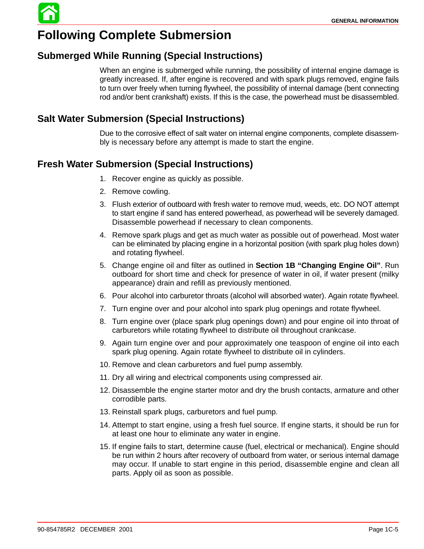

# **Following Complete Submersion**

## **Submerged While Running (Special Instructions)**

When an engine is submerged while running, the possibility of internal engine damage is greatly increased. If, after engine is recovered and with spark plugs removed, engine fails to turn over freely when turning flywheel, the possibility of internal damage (bent connecting rod and/or bent crankshaft) exists. If this is the case, the powerhead must be disassembled.

## **Salt Water Submersion (Special Instructions)**

Due to the corrosive effect of salt water on internal engine components, complete disassembly is necessary before any attempt is made to start the engine.

## **Fresh Water Submersion (Special Instructions)**

- 1. Recover engine as quickly as possible.
- 2. Remove cowling.
- 3. Flush exterior of outboard with fresh water to remove mud, weeds, etc. DO NOT attempt to start engine if sand has entered powerhead, as powerhead will be severely damaged. Disassemble powerhead if necessary to clean components.
- 4. Remove spark plugs and get as much water as possible out of powerhead. Most water can be eliminated by placing engine in a horizontal position (with spark plug holes down) and rotating flywheel.
- 5. Change engine oil and filter as outlined in **Section 1B "Changing Engine Oil"**. Run outboard for short time and check for presence of water in oil, if water present (milky appearance) drain and refill as previously mentioned.
- 6. Pour alcohol into carburetor throats (alcohol will absorbed water). Again rotate flywheel.
- 7. Turn engine over and pour alcohol into spark plug openings and rotate flywheel.
- 8. Turn engine over (place spark plug openings down) and pour engine oil into throat of carburetors while rotating flywheel to distribute oil throughout crankcase.
- 9. Again turn engine over and pour approximately one teaspoon of engine oil into each spark plug opening. Again rotate flywheel to distribute oil in cylinders.
- 10. Remove and clean carburetors and fuel pump assembly.
- 11. Dry all wiring and electrical components using compressed air.
- 12. Disassemble the engine starter motor and dry the brush contacts, armature and other corrodible parts.
- 13. Reinstall spark plugs, carburetors and fuel pump.
- 14. Attempt to start engine, using a fresh fuel source. If engine starts, it should be run for at least one hour to eliminate any water in engine.
- 15. If engine fails to start, determine cause (fuel, electrical or mechanical). Engine should be run within 2 hours after recovery of outboard from water, or serious internal damage may occur. If unable to start engine in this period, disassemble engine and clean all parts. Apply oil as soon as possible.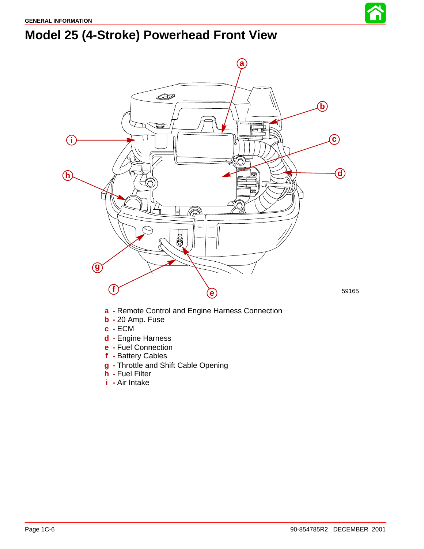# **Model 25 (4-Stroke) Powerhead Front View**



- **a -** Remote Control and Engine Harness Connection
- **b -** 20 Amp. Fuse
- **c -** ECM
- **d -** Engine Harness
- **e -** Fuel Connection
- **f -** Battery Cables
- **g -** Throttle and Shift Cable Opening
- **h -** Fuel Filter
- **i -** Air Intake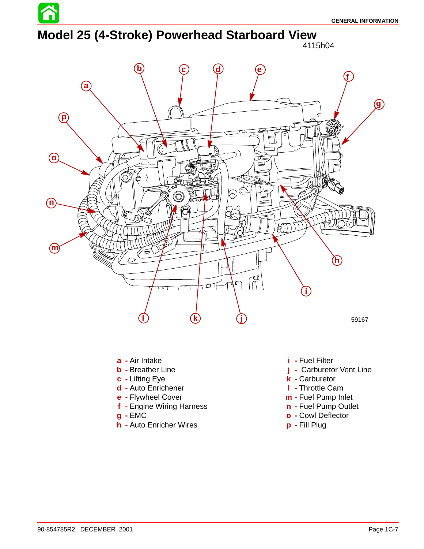# **Model 25 (4-Stroke) Powerhead Starboard View**



- **a -** Air Intake
- **b -** Breather Line
- **c -** Lifting Eye
- **d -** Auto Enrichener
- **e -** Flywheel Cover
- **f -** Engine Wiring Harness
- **g -** EMC
- **h -** Auto Enricher Wires
- **i -** Fuel Filter
- **j -** Carburetor Vent Line
- **k -** Carburetor
- **l -** Throttle Cam
- **m -** Fuel Pump Inlet
- **n -** Fuel Pump Outlet
- **o -** Cowl Deflector
- **p -** Fill Plug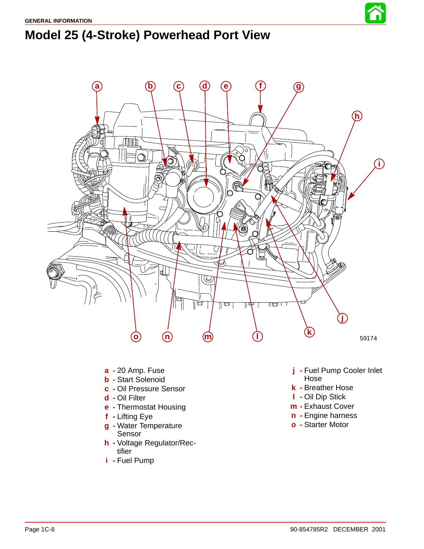



- **a -** 20 Amp. Fuse
- **b -** Start Solenoid
- **c -** Oil Pressure Sensor
- **d -** Oil Filter
- **e -** Thermostat Housing
- **f -** Lifting Eye
- **g -** Water Temperature Sensor
- **h -** Voltage Regulator/Rectifier
- **i -** Fuel Pump
- **j -** Fuel Pump Cooler Inlet Hose
- **k -** Breather Hose
- **l -** Oil Dip Stick
- **m -** Exhaust Cover
- **n -** Engine harness
- **o -** Starter Motor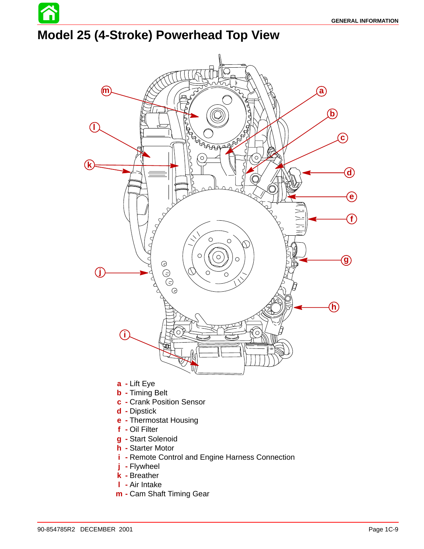# **Model 25 (4-Stroke) Powerhead Top View**



- **a -** Lift Eye
- **b -** Timing Belt
- **c -** Crank Position Sensor
- **d -** Dipstick
- **e -** Thermostat Housing
- **f -** Oil Filter
- **g -** Start Solenoid
- **h -** Starter Motor
- **i -** Remote Control and Engine Harness Connection
- **j -** Flywheel
- **k -** Breather
- **l -** Air Intake
- **m -** Cam Shaft Timing Gear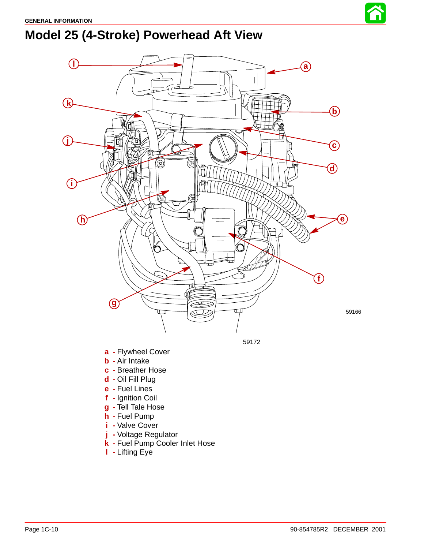

# **Model 25 (4-Stroke) Powerhead Aft View**



- **h -** Fuel Pump
- **i -** Valve Cover
- **j -** Voltage Regulator
- **k -** Fuel Pump Cooler Inlet Hose
- **l -** Lifting Eye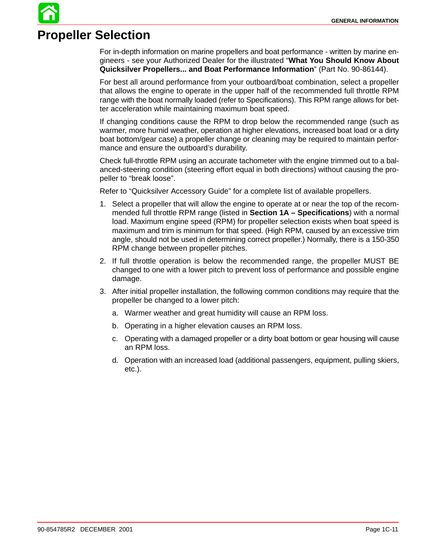# **Propeller Selection**

For in-depth information on marine propellers and boat performance - written by marine engineers - see your Authorized Dealer for the illustrated "**What You Should Know About Quicksilver Propellers... and Boat Performance Information**" (Part No. 90-86144).

For best all around performance from your outboard/boat combination, select a propeller that allows the engine to operate in the upper half of the recommended full throttle RPM range with the boat normally loaded (refer to Specifications). This RPM range allows for better acceleration while maintaining maximum boat speed.

If changing conditions cause the RPM to drop below the recommended range (such as warmer, more humid weather, operation at higher elevations, increased boat load or a dirty boat bottom/gear case) a propeller change or cleaning may be required to maintain performance and ensure the outboard's durability.

Check full-throttle RPM using an accurate tachometer with the engine trimmed out to a balanced-steering condition (steering effort equal in both directions) without causing the propeller to "break loose".

Refer to "Quicksilver Accessory Guide" for a complete list of available propellers.

- 1. Select a propeller that will allow the engine to operate at or near the top of the recommended full throttle RPM range (listed in **Section 1A – Specifications**) with a normal load. Maximum engine speed (RPM) for propeller selection exists when boat speed is maximum and trim is minimum for that speed. (High RPM, caused by an excessive trim angle, should not be used in determining correct propeller.) Normally, there is a 150-350 RPM change between propeller pitches.
- 2. If full throttle operation is below the recommended range, the propeller MUST BE changed to one with a lower pitch to prevent loss of performance and possible engine damage.
- 3. After initial propeller installation, the following common conditions may require that the propeller be changed to a lower pitch:
	- a. Warmer weather and great humidity will cause an RPM loss.
	- b. Operating in a higher elevation causes an RPM loss.
	- c. Operating with a damaged propeller or a dirty boat bottom or gear housing will cause an RPM loss.
	- d. Operation with an increased load (additional passengers, equipment, pulling skiers, etc.).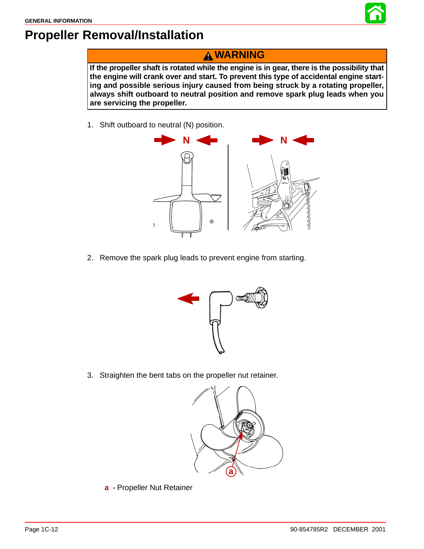

# **Propeller Removal/Installation**

## **WARNING**

**If the propeller shaft is rotated while the engine is in gear, there is the possibility that the engine will crank over and start. To prevent this type of accidental engine starting and possible serious injury caused from being struck by a rotating propeller, always shift outboard to neutral position and remove spark plug leads when you are servicing the propeller.**

1. Shift outboard to neutral (N) position.



2. Remove the spark plug leads to prevent engine from starting.



3. Straighten the bent tabs on the propeller nut retainer.



**a -** Propeller Nut Retainer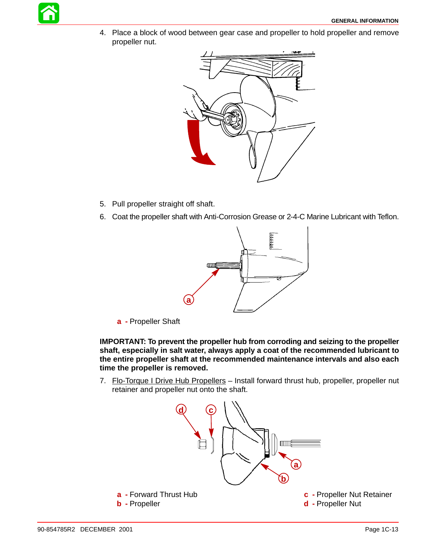4. Place a block of wood between gear case and propeller to hold propeller and remove propeller nut.



- 5. Pull propeller straight off shaft.
- 6. Coat the propeller shaft with Anti-Corrosion Grease or 2-4-C Marine Lubricant with Teflon.



**a -** Propeller Shaft

**IMPORTANT: To prevent the propeller hub from corroding and seizing to the propeller shaft, especially in salt water, always apply a coat of the recommended lubricant to the entire propeller shaft at the recommended maintenance intervals and also each time the propeller is removed.**

7. Flo-Torque I Drive Hub Propellers - Install forward thrust hub, propeller, propeller nut retainer and propeller nut onto the shaft.

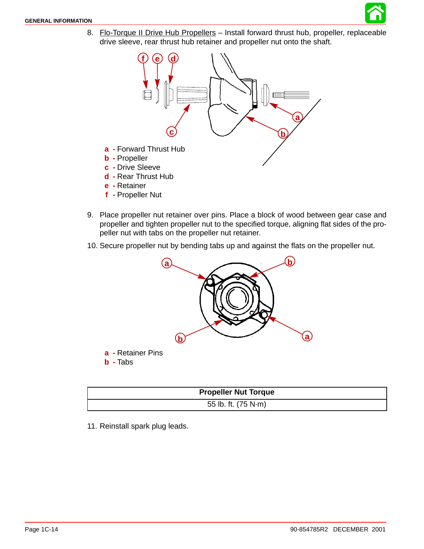

8. Flo-Torque II Drive Hub Propellers - Install forward thrust hub, propeller, replaceable drive sleeve, rear thrust hub retainer and propeller nut onto the shaft.



- **d -** Rear Thrust Hub
- **e -** Retainer
- **f -** Propeller Nut
- 9. Place propeller nut retainer over pins. Place a block of wood between gear case and propeller and tighten propeller nut to the specified torque, aligning flat sides of the propeller nut with tabs on the propeller nut retainer.
- 10. Secure propeller nut by bending tabs up and against the flats on the propeller nut.



**b -** Tabs

| <b>Propeller Nut Torque</b> |  |
|-----------------------------|--|
| 55 lb. ft. (75 N·m)         |  |

11. Reinstall spark plug leads.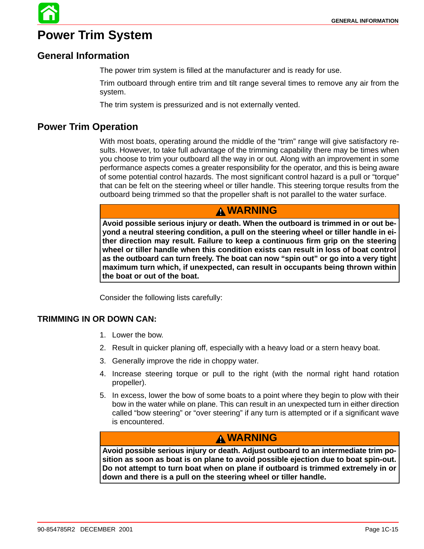# **Power Trim System**

### **General Information**

The power trim system is filled at the manufacturer and is ready for use.

Trim outboard through entire trim and tilt range several times to remove any air from the system.

The trim system is pressurized and is not externally vented.

### **Power Trim Operation**

With most boats, operating around the middle of the "trim" range will give satisfactory results. However, to take full advantage of the trimming capability there may be times when you choose to trim your outboard all the way in or out. Along with an improvement in some performance aspects comes a greater responsibility for the operator, and this is being aware of some potential control hazards. The most significant control hazard is a pull or "torque" that can be felt on the steering wheel or tiller handle. This steering torque results from the outboard being trimmed so that the propeller shaft is not parallel to the water surface.

### **WARNING**

**Avoid possible serious injury or death. When the outboard is trimmed in or out beyond a neutral steering condition, a pull on the steering wheel or tiller handle in either direction may result. Failure to keep a continuous firm grip on the steering wheel or tiller handle when this condition exists can result in loss of boat control as the outboard can turn freely. The boat can now "spin out" or go into a very tight maximum turn which, if unexpected, can result in occupants being thrown within the boat or out of the boat.**

Consider the following lists carefully:

#### **TRIMMING IN OR DOWN CAN:**

- 1. Lower the bow.
- 2. Result in quicker planing off, especially with a heavy load or a stern heavy boat.
- 3. Generally improve the ride in choppy water.
- 4. Increase steering torque or pull to the right (with the normal right hand rotation propeller).
- 5. In excess, lower the bow of some boats to a point where they begin to plow with their bow in the water while on plane. This can result in an unexpected turn in either direction called "bow steering" or "over steering" if any turn is attempted or if a significant wave is encountered.

### **WARNING**

**Avoid possible serious injury or death. Adjust outboard to an intermediate trim position as soon as boat is on plane to avoid possible ejection due to boat spin-out. Do not attempt to turn boat when on plane if outboard is trimmed extremely in or down and there is a pull on the steering wheel or tiller handle.**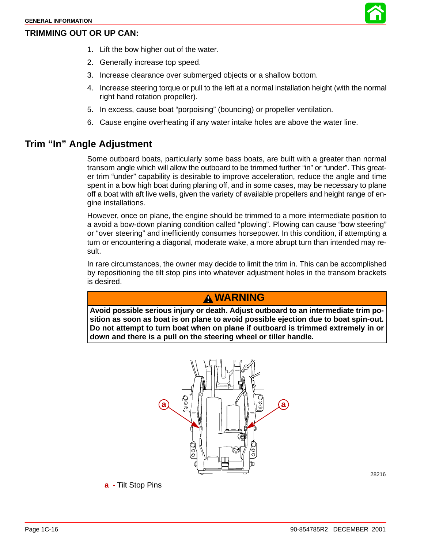#### **TRIMMING OUT OR UP CAN:**



- 1. Lift the bow higher out of the water.
- 2. Generally increase top speed.
- 3. Increase clearance over submerged objects or a shallow bottom.
- 4. Increase steering torque or pull to the left at a normal installation height (with the normal right hand rotation propeller).
- 5. In excess, cause boat "porpoising" (bouncing) or propeller ventilation.
- 6. Cause engine overheating if any water intake holes are above the water line.

### **Trim "In" Angle Adjustment**

Some outboard boats, particularly some bass boats, are built with a greater than normal transom angle which will allow the outboard to be trimmed further "in" or "under". This greater trim "under" capability is desirable to improve acceleration, reduce the angle and time spent in a bow high boat during planing off, and in some cases, may be necessary to plane off a boat with aft live wells, given the variety of available propellers and height range of engine installations.

However, once on plane, the engine should be trimmed to a more intermediate position to a avoid a bow-down planing condition called "plowing". Plowing can cause "bow steering" or "over steering" and inefficiently consumes horsepower. In this condition, if attempting a turn or encountering a diagonal, moderate wake, a more abrupt turn than intended may result.

In rare circumstances, the owner may decide to limit the trim in. This can be accomplished by repositioning the tilt stop pins into whatever adjustment holes in the transom brackets is desired.

### **WARNING**

**Avoid possible serious injury or death. Adjust outboard to an intermediate trim position as soon as boat is on plane to avoid possible ejection due to boat spin-out. Do not attempt to turn boat when on plane if outboard is trimmed extremely in or down and there is a pull on the steering wheel or tiller handle.**



**a -** Tilt Stop Pins

28216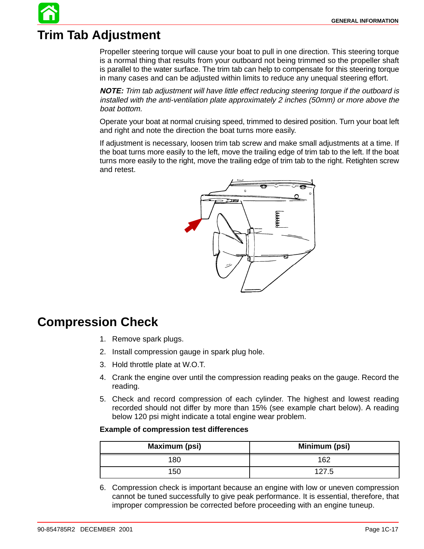# **Trim Tab Adjustment**

Propeller steering torque will cause your boat to pull in one direction. This steering torque is a normal thing that results from your outboard not being trimmed so the propeller shaft is parallel to the water surface. The trim tab can help to compensate for this steering torque in many cases and can be adjusted within limits to reduce any unequal steering effort.

**NOTE:** Trim tab adjustment will have little effect reducing steering torque if the outboard is installed with the anti-ventilation plate approximately 2 inches (50mm) or more above the boat bottom.

Operate your boat at normal cruising speed, trimmed to desired position. Turn your boat left and right and note the direction the boat turns more easily.

If adjustment is necessary, loosen trim tab screw and make small adjustments at a time. If the boat turns more easily to the left, move the trailing edge of trim tab to the left. If the boat turns more easily to the right, move the trailing edge of trim tab to the right. Retighten screw and retest.



# **Compression Check**

- 1. Remove spark plugs.
- 2. Install compression gauge in spark plug hole.
- 3. Hold throttle plate at W.O.T.
- 4. Crank the engine over until the compression reading peaks on the gauge. Record the reading.
- 5. Check and record compression of each cylinder. The highest and lowest reading recorded should not differ by more than 15% (see example chart below). A reading below 120 psi might indicate a total engine wear problem.

#### **Example of compression test differences**

| Maximum (psi) | Minimum (psi) |
|---------------|---------------|
| 80            | 162           |
| 150           | _Б            |

6. Compression check is important because an engine with low or uneven compression cannot be tuned successfully to give peak performance. It is essential, therefore, that improper compression be corrected before proceeding with an engine tuneup.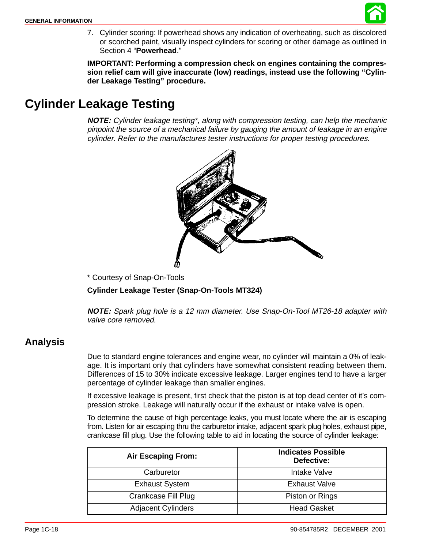

7. Cylinder scoring: If powerhead shows any indication of overheating, such as discolored or scorched paint, visually inspect cylinders for scoring or other damage as outlined in Section 4 "**Powerhead**."

**IMPORTANT: Performing a compression check on engines containing the compression relief cam will give inaccurate (low) readings, instead use the following "Cylinder Leakage Testing" procedure.**

# **Cylinder Leakage Testing**

**NOTE:** Cylinder leakage testing\*, along with compression testing, can help the mechanic pinpoint the source of a mechanical failure by gauging the amount of leakage in an engine cylinder. Refer to the manufactures tester instructions for proper testing procedures.



\* Courtesy of Snap-On-Tools

**Cylinder Leakage Tester (Snap-On-Tools MT324)**

**NOTE:** Spark plug hole is a 12 mm diameter. Use Snap-On-Tool MT26-18 adapter with valve core removed.

### **Analysis**

Due to standard engine tolerances and engine wear, no cylinder will maintain a 0% of leakage. It is important only that cylinders have somewhat consistent reading between them. Differences of 15 to 30% indicate excessive leakage. Larger engines tend to have a larger percentage of cylinder leakage than smaller engines.

If excessive leakage is present, first check that the piston is at top dead center of it's compression stroke. Leakage will naturally occur if the exhaust or intake valve is open.

To determine the cause of high percentage leaks, you must locate where the air is escaping from. Listen for air escaping thru the carburetor intake, adjacent spark plug holes, exhaust pipe, crankcase fill plug. Use the following table to aid in locating the source of cylinder leakage:

| <b>Air Escaping From:</b> | <b>Indicates Possible</b><br>Defective: |
|---------------------------|-----------------------------------------|
| Carburetor                | Intake Valve                            |
| <b>Exhaust System</b>     | <b>Exhaust Valve</b>                    |
| Crankcase Fill Plug       | Piston or Rings                         |
| <b>Adjacent Cylinders</b> | <b>Head Gasket</b>                      |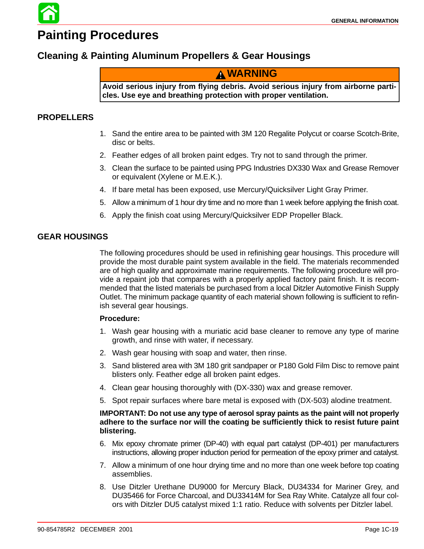# **Painting Procedures**

### **Cleaning & Painting Aluminum Propellers & Gear Housings**

### **WARNING**

**Avoid serious injury from flying debris. Avoid serious injury from airborne particles. Use eye and breathing protection with proper ventilation.**

#### **PROPELLERS**

- 1. Sand the entire area to be painted with 3M 120 Regalite Polycut or coarse Scotch-Brite, disc or belts.
- 2. Feather edges of all broken paint edges. Try not to sand through the primer.
- 3. Clean the surface to be painted using PPG Industries DX330 Wax and Grease Remover or equivalent (Xylene or M.E.K.).
- 4. If bare metal has been exposed, use Mercury/Quicksilver Light Gray Primer.
- 5. Allow a minimum of 1 hour dry time and no more than 1 week before applying the finish coat.
- 6. Apply the finish coat using Mercury/Quicksilver EDP Propeller Black.

#### **GEAR HOUSINGS**

The following procedures should be used in refinishing gear housings. This procedure will provide the most durable paint system available in the field. The materials recommended are of high quality and approximate marine requirements. The following procedure will provide a repaint job that compares with a properly applied factory paint finish. It is recommended that the listed materials be purchased from a local Ditzler Automotive Finish Supply Outlet. The minimum package quantity of each material shown following is sufficient to refinish several gear housings.

#### **Procedure:**

- 1. Wash gear housing with a muriatic acid base cleaner to remove any type of marine growth, and rinse with water, if necessary.
- 2. Wash gear housing with soap and water, then rinse.
- 3. Sand blistered area with 3M 180 grit sandpaper or P180 Gold Film Disc to remove paint blisters only. Feather edge all broken paint edges.
- 4. Clean gear housing thoroughly with (DX-330) wax and grease remover.
- 5. Spot repair surfaces where bare metal is exposed with (DX-503) alodine treatment.

#### **IMPORTANT: Do not use any type of aerosol spray paints as the paint will not properly adhere to the surface nor will the coating be sufficiently thick to resist future paint blistering.**

- 6. Mix epoxy chromate primer (DP-40) with equal part catalyst (DP-401) per manufacturers instructions, allowing proper induction period for permeation of the epoxy primer and catalyst.
- 7. Allow a minimum of one hour drying time and no more than one week before top coating assemblies.
- 8. Use Ditzler Urethane DU9000 for Mercury Black, DU34334 for Mariner Grey, and DU35466 for Force Charcoal, and DU33414M for Sea Ray White. Catalyze all four colors with Ditzler DU5 catalyst mixed 1:1 ratio. Reduce with solvents per Ditzler label.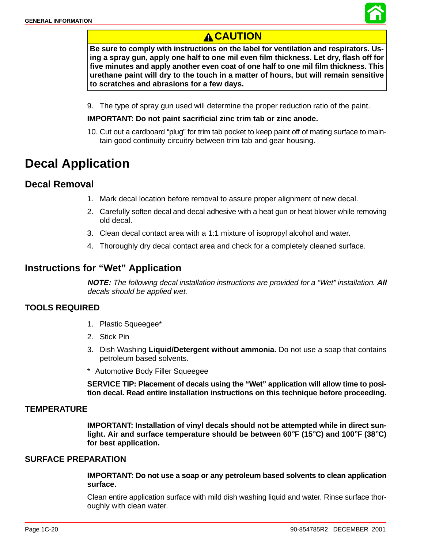

# **CAUTION**

**Be sure to comply with instructions on the label for ventilation and respirators. Using a spray gun, apply one half to one mil even film thickness. Let dry, flash off for five minutes and apply another even coat of one half to one mil film thickness. This urethane paint will dry to the touch in a matter of hours, but will remain sensitive to scratches and abrasions for a few days.**

9. The type of spray gun used will determine the proper reduction ratio of the paint.

#### **IMPORTANT: Do not paint sacrificial zinc trim tab or zinc anode.**

10. Cut out a cardboard "plug" for trim tab pocket to keep paint off of mating surface to maintain good continuity circuitry between trim tab and gear housing.

# **Decal Application**

### **Decal Removal**

- 1. Mark decal location before removal to assure proper alignment of new decal.
- 2. Carefully soften decal and decal adhesive with a heat gun or heat blower while removing old decal.
- 3. Clean decal contact area with a 1:1 mixture of isopropyl alcohol and water.
- 4. Thoroughly dry decal contact area and check for a completely cleaned surface.

### **Instructions for "Wet" Application**

**NOTE:** The following decal installation instructions are provided for a "Wet" installation. **All** decals should be applied wet.

#### **TOOLS REQUIRED**

- 1. Plastic Squeegee\*
- 2. Stick Pin
- 3. Dish Washing **Liquid/Detergent without ammonia.** Do not use a soap that contains petroleum based solvents.
- \*\* Automotive Body Filler Squeegee

**SERVICE TIP: Placement of decals using the "Wet" application will allow time to position decal. Read entire installation instructions on this technique before proceeding.**

#### **TEMPERATURE**

**IMPORTANT: Installation of vinyl decals should not be attempted while in direct sunlight. Air and surface temperature should be between 60**°**F (15**°**C) and 100**°**F (38**°**C) for best application.**

#### **SURFACE PREPARATION**

**IMPORTANT: Do not use a soap or any petroleum based solvents to clean application surface.**

Clean entire application surface with mild dish washing liquid and water. Rinse surface thoroughly with clean water.